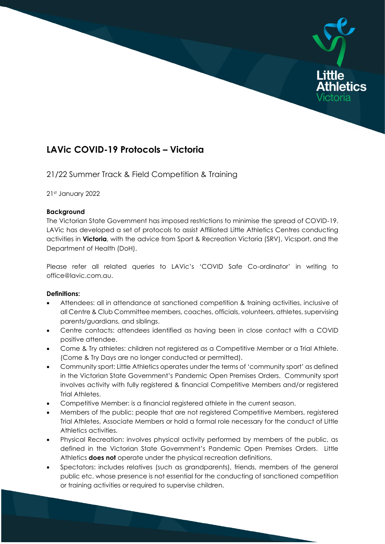

# **LAVic COVID-19 Protocols – Victoria**

21/22 Summer Track & Field Competition & Training

21st January 2022

## **Background**

The Victorian State Government has imposed restrictions to minimise the spread of COVID-19. LAVic has developed a set of protocols to assist Affiliated Little Athletics Centres conducting activities in **Victoria**, with the advice from Sport & Recreation Victoria (SRV), Vicsport, and the Department of Health (DoH).

Please refer all related queries to LAVic's 'COVID Safe Co-ordinator' in writing to office@lavic.com.au.

# **Definitions:**

- Attendees: all in attendance at sanctioned competition & training activities, inclusive of all Centre & Club Committee members, coaches, officials, volunteers, athletes, supervising parents/guardians, and siblings.
- Centre contacts: attendees identified as having been in close contact with a COVID positive attendee.
- Come & Try athletes: children not registered as a Competitive Member or a Trial Athlete. (Come & Try Days are no longer conducted or permitted).
- Community sport: Little Athletics operates under the terms of 'community sport' as defined in the Victorian State Government's Pandemic Open Premises Orders. Community sport involves activity with fully registered & financial Competitive Members and/or registered Trial Athletes.
- Competitive Member: is a financial registered athlete in the current season.
- Members of the public: people that are not registered Competitive Members, registered Trial Athletes, Associate Members or hold a formal role necessary for the conduct of Little Athletics activities.
- Physical Recreation: involves physical activity performed by members of the public, as defined in the Victorian State Government's Pandemic Open Premises Orders. Little Athletics **does not** operate under the physical recreation definitions.
- Spectators: includes relatives (such as grandparents), friends, members of the general public etc. whose presence is not essential for the conducting of sanctioned competition or training activities or required to supervise children.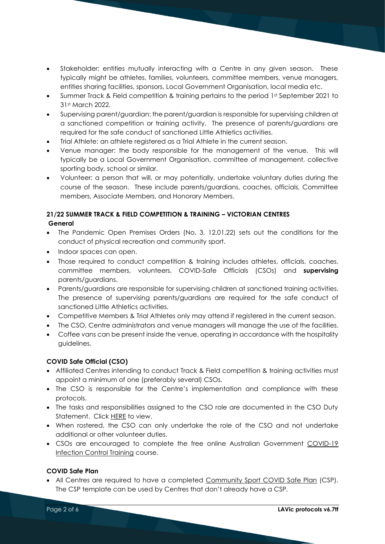- Stakeholder: entities mutually interacting with a Centre in any given season. These typically might be athletes, families, volunteers, committee members, venue managers, entities sharing facilities, sponsors, Local Government Organisation, local media etc.
- Summer Track & Field competition & training pertains to the period 1st September 2021 to 31st March 2022.
- Supervising parent/guardian: the parent/guardian is responsible for supervising children at a sanctioned competition or training activity. The presence of parents/guardians are required for the safe conduct of sanctioned Little Athletics activities.
- Trial Athlete: an athlete registered as a Trial Athlete in the current season.
- Venue manager: the body responsible for the management of the venue. This will typically be a Local Government Organisation, committee of management, collective sporting body, school or similar.
- Volunteer: a person that will, or may potentially, undertake voluntary duties during the course of the season. These include parents/guardians, coaches, officials, Committee members, Associate Members, and Honorary Members.

# **21/22 SUMMER TRACK & FIELD COMPETITION & TRAINING – VICTORIAN CENTRES General**

- The Pandemic Open Premises Orders (No. 3, 12.01.22) sets out the conditions for the conduct of physical recreation and community sport.
- Indoor spaces can open.
- Those required to conduct competition & training includes athletes, officials, coaches, committee members, volunteers, COVID-Safe Officials (CSOs) and **supervising** parents/guardians.
- Parents/guardians are responsible for supervising children at sanctioned training activities. The presence of supervising parents/guardians are required for the safe conduct of sanctioned Little Athletics activities.
- Competitive Members & Trial Athletes only may attend if registered in the current season.
- The CSO, Centre administrators and venue managers will manage the use of the facilities.
- Coffee vans can be present inside the venue, operating in accordance with the hospitality guidelines.

#### **COVID Safe Official (CSO)**

- Affiliated Centres intending to conduct Track & Field competition & training activities must appoint a minimum of one (preferably several) CSOs.
- The CSO is responsible for the Centre's implementation and compliance with these protocols.
- The tasks and responsibilities assigned to the CSO role are documented in the CSO Duty Statement. Click [HERE](https://lavic.com.au/covid-19/) to view.
- When rostered, the CSO can only undertake the role of the CSO and not undertake additional or other volunteer duties.
- CSOs are encouraged to complete the free online Australian Government [COVID-19](https://www.health.gov.au/resources/apps-and-tools/covid-19-infection-control-training)  [Infection Control Training](https://www.health.gov.au/resources/apps-and-tools/covid-19-infection-control-training) course.

#### **COVID Safe Plan**

• All Centres are required to have a completed [Community Sport COVID Safe Plan](https://www.coronavirus.vic.gov.au/sites/default/files/2020-11/COVIDSafe-Plan-Community-Sports.pdf) (CSP). The CSP template can be used by Centres that don't already have a CSP.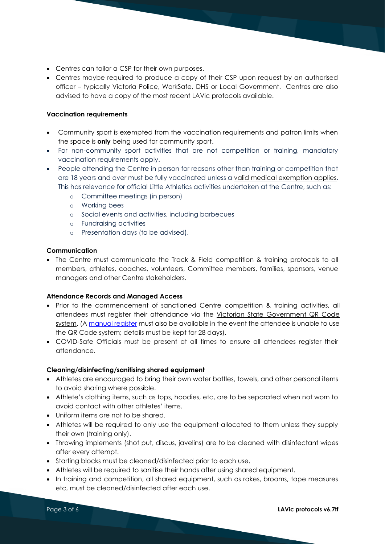- Centres can tailor a CSP for their own purposes.
- Centres maybe required to produce a copy of their CSP upon request by an authorised officer – typically Victoria Police, WorkSafe, DHS or Local Government. Centres are also advised to have a copy of the most recent LAVic protocols available.

#### **Vaccination requirements**

- Community sport is exempted from the vaccination requirements and patron limits when the space is **only** being used for community sport.
- For non-community sport activities that are not competition or training, mandatory vaccination requirements apply.
- People attending the Centre in person for reasons other than training or competition that are 18 years and over must be fully vaccinated unless a [valid medical exemption applies.](https://www.coronavirus.vic.gov.au/information-workers-required-to-be-vaccinated) This has relevance for official Little Athletics activities undertaken at the Centre, such as:
	- o Committee meetings (in person)
	- o Working bees
	- o Social events and activities, including barbecues
	- o Fundraising activities
	- o Presentation days (to be advised).

## **Communication**

• The Centre must communicate the Track & Field competition & training protocols to all members, athletes, coaches, volunteers, Committee members, families, sponsors, venue managers and other Centre stakeholders.

#### **Attendance Records and Managed Access**

- Prior to the commencement of sanctioned Centre competition & training activities, all attendees must register their attendance via the [Victorian State Government QR Code](https://www.coronavirus.vic.gov.au/about-victorian-government-qr-code-service)  [system.](https://www.coronavirus.vic.gov.au/about-victorian-government-qr-code-service) (A [manual register](https://lavic.com.au/wp-content/uploads/2020/06/LAVic-Attendance-Register-Template-091020.docx) must also be available in the event the attendee is unable to use the QR Code system; details must be kept for 28 days).
- COVID-Safe Officials must be present at all times to ensure all attendees register their attendance.

#### **Cleaning/disinfecting/sanitising shared equipment**

- Athletes are encouraged to bring their own water bottles, towels, and other personal items to avoid sharing where possible.
- Athlete's clothing items, such as tops, hoodies, etc, are to be separated when not worn to avoid contact with other athletes' items.
- Uniform items are not to be shared.
- Athletes will be required to only use the equipment allocated to them unless they supply their own (training only).
- Throwing implements (shot put, discus, javelins) are to be cleaned with disinfectant wipes after every attempt.
- Starting blocks must be cleaned/disinfected prior to each use.
- Athletes will be required to sanitise their hands after using shared equipment.
- In training and competition, all shared equipment, such as rakes, brooms, tape measures etc, must be cleaned/disinfected after each use.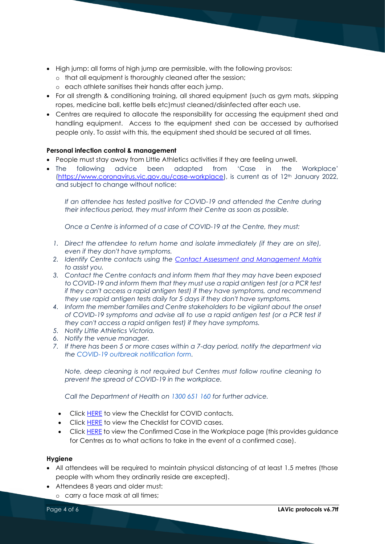- High jump: all forms of high jump are permissible, with the following provisos:
	- o that all equipment is thoroughly cleaned after the session;
	- o each athlete sanitises their hands after each jump.
- For all strength & conditioning training, all shared equipment (such as gym mats, skipping ropes, medicine ball, kettle bells etc)must cleaned/disinfected after each use.
- Centres are required to allocate the responsibility for accessing the equipment shed and handling equipment. Access to the equipment shed can be accessed by authorised people only. To assist with this, the equipment shed should be secured at all times.

#### **Personal infection control & management**

- People must stay away from Little Athletics activities if they are feeling unwell.
- The following advice been adapted from 'Case in the Workplace' [\(https://www.coronavirus.vic.gov.au/case-workplace\)](https://www.coronavirus.vic.gov.au/case-workplace), is current as of 12th January 2022, and subject to change without notice:

*If an attendee has tested positive for COVID-19 and attended the Centre during their infectious period, they must inform their Centre as soon as possible.*

*Once a Centre is informed of a case of COVID-19 at the Centre, they must:*

- *1. Direct the attendee to return home and isolate immediately (if they are on site), even if they don't have symptoms.*
- *2. Identify Centre contacts using the [Contact Assessment and Management Matrix](https://lavic.com.au/wp-content/uploads/2020/06/190122-Contact-assessment-and-management-guidance-workplaces-business-industry.pdf) to assist you.*
- *3. Contact the Centre contacts and inform them that they may have been exposed to COVID-19 and inform them that they must use a rapid antigen test (or a PCR test if they can't access a rapid antigen test) if they have symptoms, and recommend they use rapid antigen tests daily for 5 days if they don't have symptoms.*
- *4. Inform the member families and Centre stakeholders to be vigilant about the onset of COVID-19 symptoms and advise all to use a rapid antigen test (or a PCR test if they can't access a rapid antigen test) if they have symptoms.*
- *5. Notify Little Athletics Victoria.*
- *6. Notify the venue manager.*
- *7. If there has been 5 or more cases within a 7-day period, notify the department via the [COVID-19 outbreak notification form.](https://www.coronavirus.vic.gov.au/covid-outbreak-notification-form)*

*Note, deep cleaning is not required but Centres must follow routine cleaning to prevent the spread of COVID-19 in the workplace.*

*Call the Department of Health on [1300](https://www.coronavirus.vic.gov.au/case-workplace) 651 160 for further advice.*

- Click [HERE](https://www.coronavirus.vic.gov.au/checklist-contacts) to view the Checklist for COVID contacts.
- Click [HERE](https://www.coronavirus.vic.gov.au/checklist-cases) to view the Checklist for COVID cases.
- Click [HERE](http://www.coronavirus.vic.gov.au/confirmed-case-workplace) to view the Confirmed Case in the Workplace page (this provides guidance for Centres as to what actions to take in the event of a confirmed case).

#### **Hygiene**

- All attendees will be required to maintain physical distancing of at least 1.5 metres (those people with whom they ordinarily reside are excepted).
- Attendees 8 years and older must: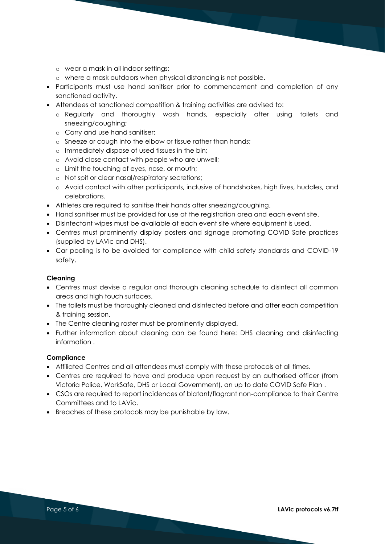- o wear a mask in all indoor settings;
- o where a mask outdoors when physical distancing is not possible.
- Participants must use hand sanitiser prior to commencement and completion of any sanctioned activity.
- Attendees at sanctioned competition & training activities are advised to:
	- o Regularly and thoroughly wash hands, especially after using toilets and sneezing/coughing;
	- o Carry and use hand sanitiser;
	- o Sneeze or cough into the elbow or tissue rather than hands;
	- o Immediately dispose of used tissues in the bin;
	- o Avoid close contact with people who are unwell;
	- o Limit the touching of eyes, nose, or mouth;
	- o Not spit or clear nasal/respiratory secretions;
	- o Avoid contact with other participants, inclusive of handshakes, high fives, huddles, and celebrations.
- Athletes are required to sanitise their hands after sneezing/coughing.
- Hand sanitiser must be provided for use at the registration area and each event site.
- Disinfectant wipes must be available at each event site where equipment is used.
- Centres must prominently display posters and signage promoting COVID Safe practices (supplied by [LAVic](https://lavic.com.au/covid-19/) and [DHS\)](https://www.coronavirus.vic.gov.au/signs-posters-and-templates).
- Car pooling is to be avoided for compliance with child safety standards and COVID-19 safety.

#### **Cleaning**

- Centres must devise a regular and thorough cleaning schedule to disinfect all common areas and high touch surfaces.
- The toilets must be thoroughly cleaned and disinfected before and after each competition & training session.
- The Centre cleaning roster must be prominently displayed.
- Further information about cleaning can be found here: **DHS cleaning and disinfecting** [information .](https://www.dhhs.vic.gov.au/preventing-infection-workplace-covid-19)

#### **Compliance**

- Affiliated Centres and all attendees must comply with these protocols at all times.
- Centres are required to have and produce upon request by an authorised officer (from Victoria Police, WorkSafe, DHS or Local Government), an up to date COVID Safe Plan .
- CSOs are required to report incidences of blatant/flagrant non-compliance to their Centre Committees and to LAVic.
- Breaches of these protocols may be punishable by law.